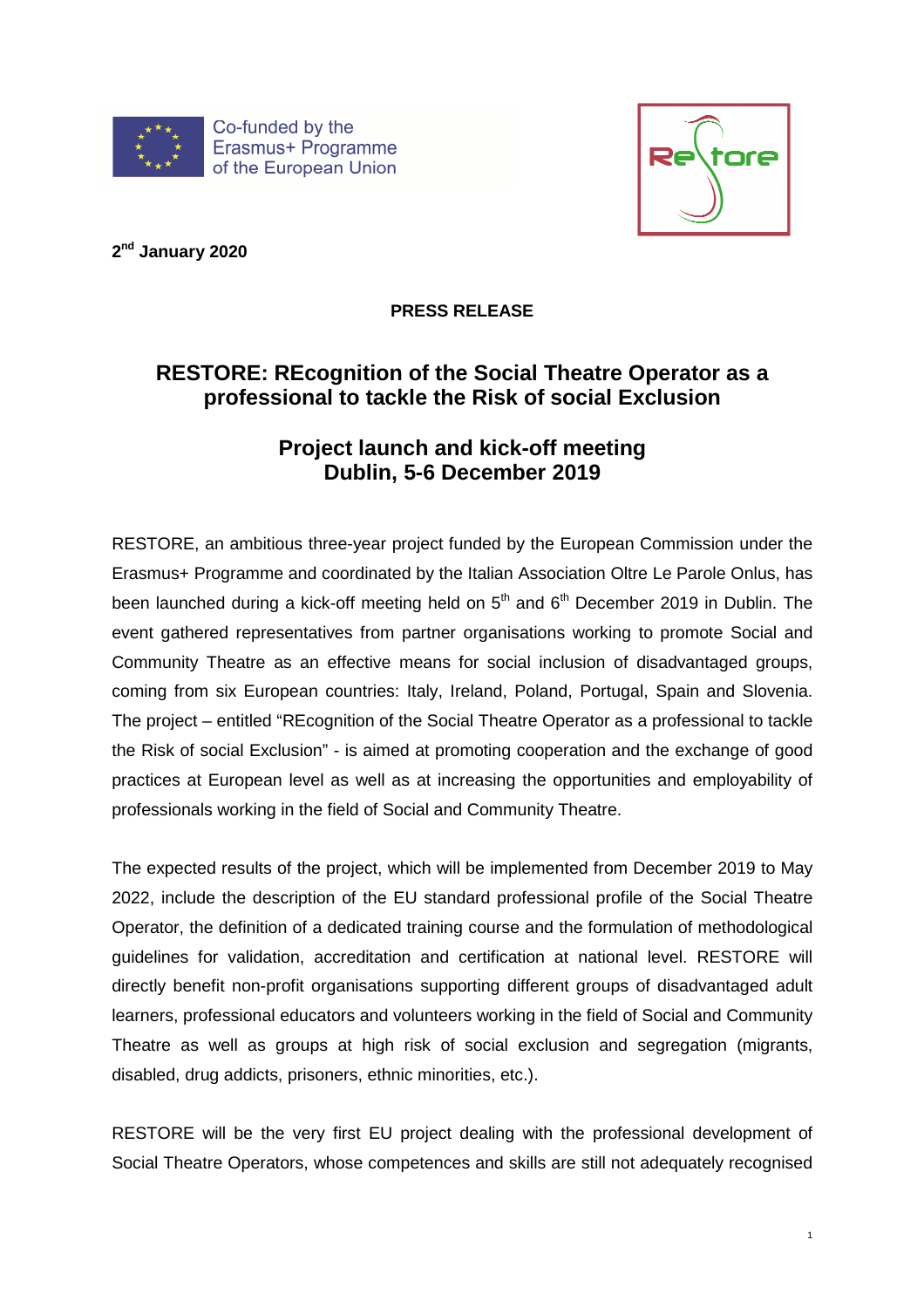



**2 nd January 2020** 

**PRESS RELEASE** 

## **RESTORE: REcognition of the Social Theatre Operator as a professional to tackle the Risk of social Exclusion**

## **Project launch and kick-off meeting Dublin, 5-6 December 2019**

RESTORE, an ambitious three-year project funded by the European Commission under the Erasmus+ Programme and coordinated by the Italian Association Oltre Le Parole Onlus, has been launched during a kick-off meeting held on  $5<sup>th</sup>$  and  $6<sup>th</sup>$  December 2019 in Dublin. The event gathered representatives from partner organisations working to promote Social and Community Theatre as an effective means for social inclusion of disadvantaged groups, coming from six European countries: Italy, Ireland, Poland, Portugal, Spain and Slovenia. The project – entitled "REcognition of the Social Theatre Operator as a professional to tackle the Risk of social Exclusion" - is aimed at promoting cooperation and the exchange of good practices at European level as well as at increasing the opportunities and employability of professionals working in the field of Social and Community Theatre.

The expected results of the project, which will be implemented from December 2019 to May 2022, include the description of the EU standard professional profile of the Social Theatre Operator, the definition of a dedicated training course and the formulation of methodological guidelines for validation, accreditation and certification at national level. RESTORE will directly benefit non-profit organisations supporting different groups of disadvantaged adult learners, professional educators and volunteers working in the field of Social and Community Theatre as well as groups at high risk of social exclusion and segregation (migrants, disabled, drug addicts, prisoners, ethnic minorities, etc.).

RESTORE will be the very first EU project dealing with the professional development of Social Theatre Operators, whose competences and skills are still not adequately recognised